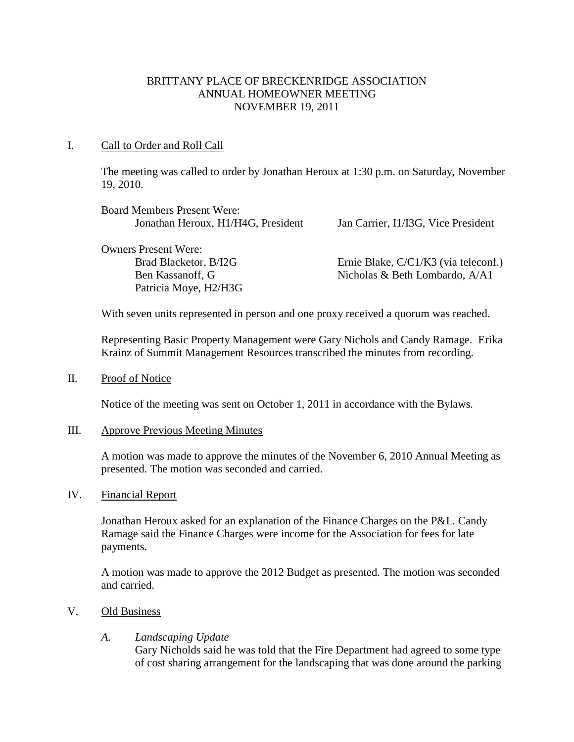## BRITTANY PLACE OF BRECKENRIDGE ASSOCIATION ANNUAL HOMEOWNER MEETING NOVEMBER 19, 2011

## I. Call to Order and Roll Call

The meeting was called to order by Jonathan Heroux at 1:30 p.m. on Saturday, November 19, 2010.

| <b>Board Members Present Were:</b> |                                      |
|------------------------------------|--------------------------------------|
| Jonathan Heroux, H1/H4G, President | Jan Carrier, I1/I3G, Vice President  |
| <b>Owners Present Were:</b>        |                                      |
| Brad Blacketor, B/I2G              | Ernie Blake, C/C1/K3 (via teleconf.) |
| Ben Kassanoff, G                   | Nicholas & Beth Lombardo, A/A1       |
| Patricia Moye, H2/H3G              |                                      |

With seven units represented in person and one proxy received a quorum was reached.

Representing Basic Property Management were Gary Nichols and Candy Ramage. Erika Krainz of Summit Management Resources transcribed the minutes from recording.

II. Proof of Notice

Notice of the meeting was sent on October 1, 2011 in accordance with the Bylaws.

#### III. Approve Previous Meeting Minutes

A motion was made to approve the minutes of the November 6, 2010 Annual Meeting as presented. The motion was seconded and carried.

IV. Financial Report

Jonathan Heroux asked for an explanation of the Finance Charges on the P&L. Candy Ramage said the Finance Charges were income for the Association for fees for late payments.

A motion was made to approve the 2012 Budget as presented. The motion was seconded and carried.

V. Old Business

## *A. Landscaping Update*

Gary Nicholds said he was told that the Fire Department had agreed to some type of cost sharing arrangement for the landscaping that was done around the parking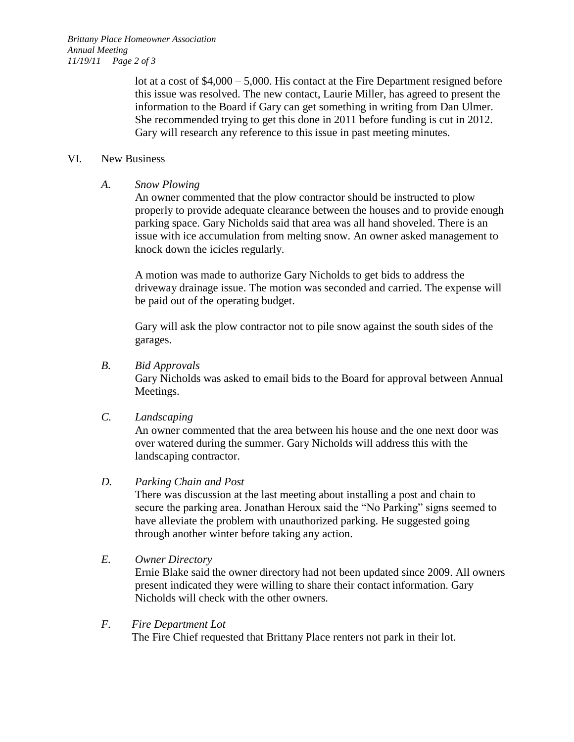*Brittany Place Homeowner Association Annual Meeting 11/19/11 Page 2 of 3*

> lot at a cost of \$4,000 – 5,000. His contact at the Fire Department resigned before this issue was resolved. The new contact, Laurie Miller, has agreed to present the information to the Board if Gary can get something in writing from Dan Ulmer. She recommended trying to get this done in 2011 before funding is cut in 2012. Gary will research any reference to this issue in past meeting minutes.

#### VI. New Business

*A. Snow Plowing*

An owner commented that the plow contractor should be instructed to plow properly to provide adequate clearance between the houses and to provide enough parking space. Gary Nicholds said that area was all hand shoveled. There is an issue with ice accumulation from melting snow. An owner asked management to knock down the icicles regularly.

A motion was made to authorize Gary Nicholds to get bids to address the driveway drainage issue. The motion was seconded and carried. The expense will be paid out of the operating budget.

Gary will ask the plow contractor not to pile snow against the south sides of the garages.

## *B. Bid Approvals*

Gary Nicholds was asked to email bids to the Board for approval between Annual Meetings.

## *C. Landscaping*

An owner commented that the area between his house and the one next door was over watered during the summer. Gary Nicholds will address this with the landscaping contractor.

## *D. Parking Chain and Post*

There was discussion at the last meeting about installing a post and chain to secure the parking area. Jonathan Heroux said the "No Parking" signs seemed to have alleviate the problem with unauthorized parking. He suggested going through another winter before taking any action.

*E. Owner Directory*

Ernie Blake said the owner directory had not been updated since 2009. All owners present indicated they were willing to share their contact information. Gary Nicholds will check with the other owners.

## *F. Fire Department Lot*

The Fire Chief requested that Brittany Place renters not park in their lot.